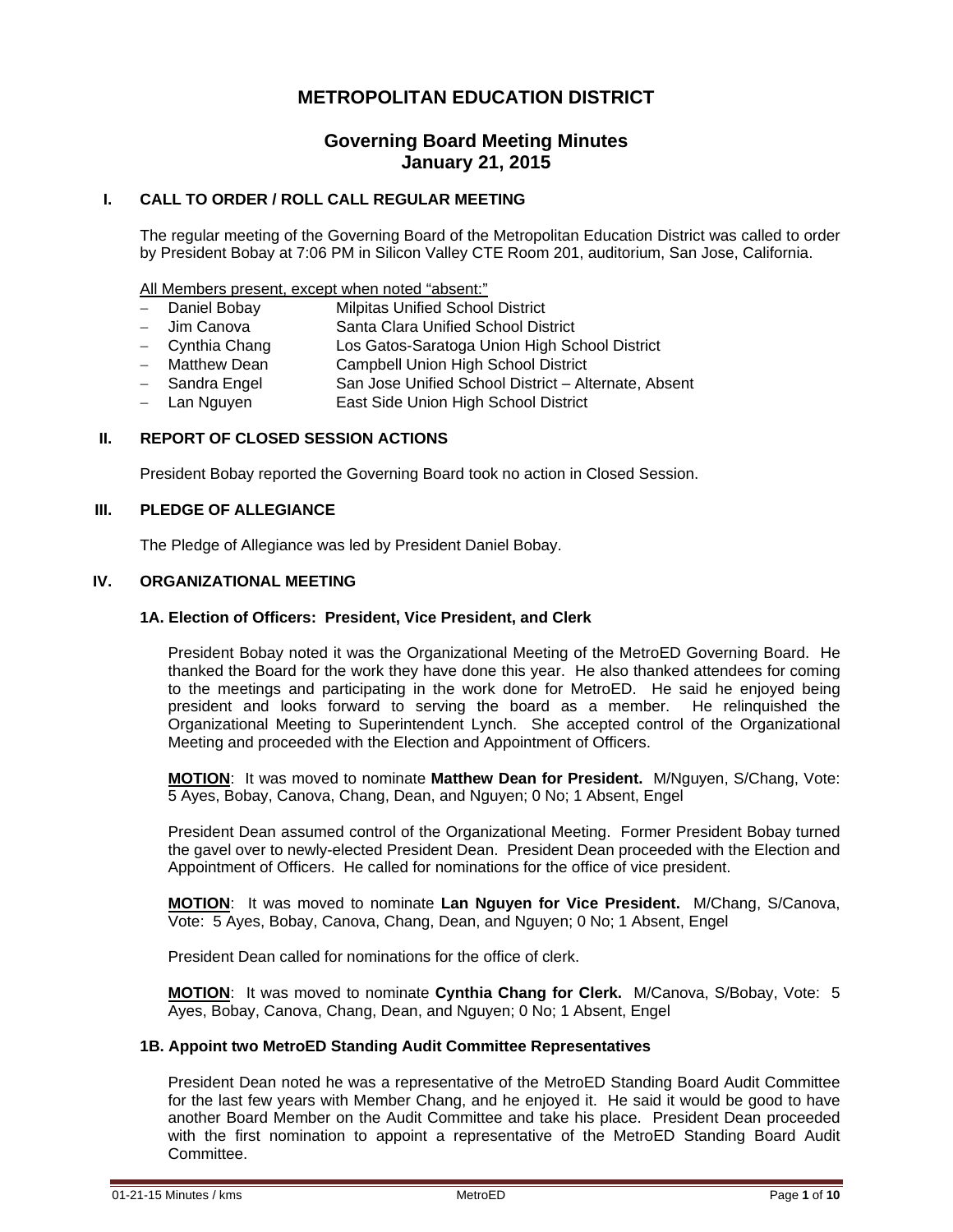# **METROPOLITAN EDUCATION DISTRICT**

# **Governing Board Meeting Minutes January 21, 2015**

## **I. CALL TO ORDER / ROLL CALL REGULAR MEETING**

The regular meeting of the Governing Board of the Metropolitan Education District was called to order by President Bobay at 7:06 PM in Silicon Valley CTE Room 201, auditorium, San Jose, California.

All Members present, except when noted "absent:"

- Daniel Bobay Milpitas Unified School District
- Jim Canova Santa Clara Unified School District
- Cynthia Chang Los Gatos-Saratoga Union High School District
- Matthew Dean Campbell Union High School District
- Sandra Engel San Jose Unified School District Alternate, Absent
- Lan Nguyen **East Side Union High School District**

## **II. REPORT OF CLOSED SESSION ACTIONS**

President Bobay reported the Governing Board took no action in Closed Session.

#### **III. PLEDGE OF ALLEGIANCE**

The Pledge of Allegiance was led by President Daniel Bobay.

## **IV. ORGANIZATIONAL MEETING**

#### **1A. Election of Officers: President, Vice President, and Clerk**

President Bobay noted it was the Organizational Meeting of the MetroED Governing Board. He thanked the Board for the work they have done this year. He also thanked attendees for coming to the meetings and participating in the work done for MetroED. He said he enjoyed being president and looks forward to serving the board as a member. He relinquished the Organizational Meeting to Superintendent Lynch. She accepted control of the Organizational Meeting and proceeded with the Election and Appointment of Officers.

**MOTION**: It was moved to nominate **Matthew Dean for President.** M/Nguyen, S/Chang, Vote: 5 Ayes, Bobay, Canova, Chang, Dean, and Nguyen; 0 No; 1 Absent, Engel

President Dean assumed control of the Organizational Meeting. Former President Bobay turned the gavel over to newly-elected President Dean. President Dean proceeded with the Election and Appointment of Officers. He called for nominations for the office of vice president.

**MOTION**: It was moved to nominate **Lan Nguyen for Vice President.** M/Chang, S/Canova, Vote: 5 Ayes, Bobay, Canova, Chang, Dean, and Nguyen; 0 No; 1 Absent, Engel

President Dean called for nominations for the office of clerk.

**MOTION**: It was moved to nominate **Cynthia Chang for Clerk.** M/Canova, S/Bobay, Vote: 5 Ayes, Bobay, Canova, Chang, Dean, and Nguyen; 0 No; 1 Absent, Engel

#### **1B. Appoint two MetroED Standing Audit Committee Representatives**

President Dean noted he was a representative of the MetroED Standing Board Audit Committee for the last few years with Member Chang, and he enjoyed it. He said it would be good to have another Board Member on the Audit Committee and take his place. President Dean proceeded with the first nomination to appoint a representative of the MetroED Standing Board Audit Committee.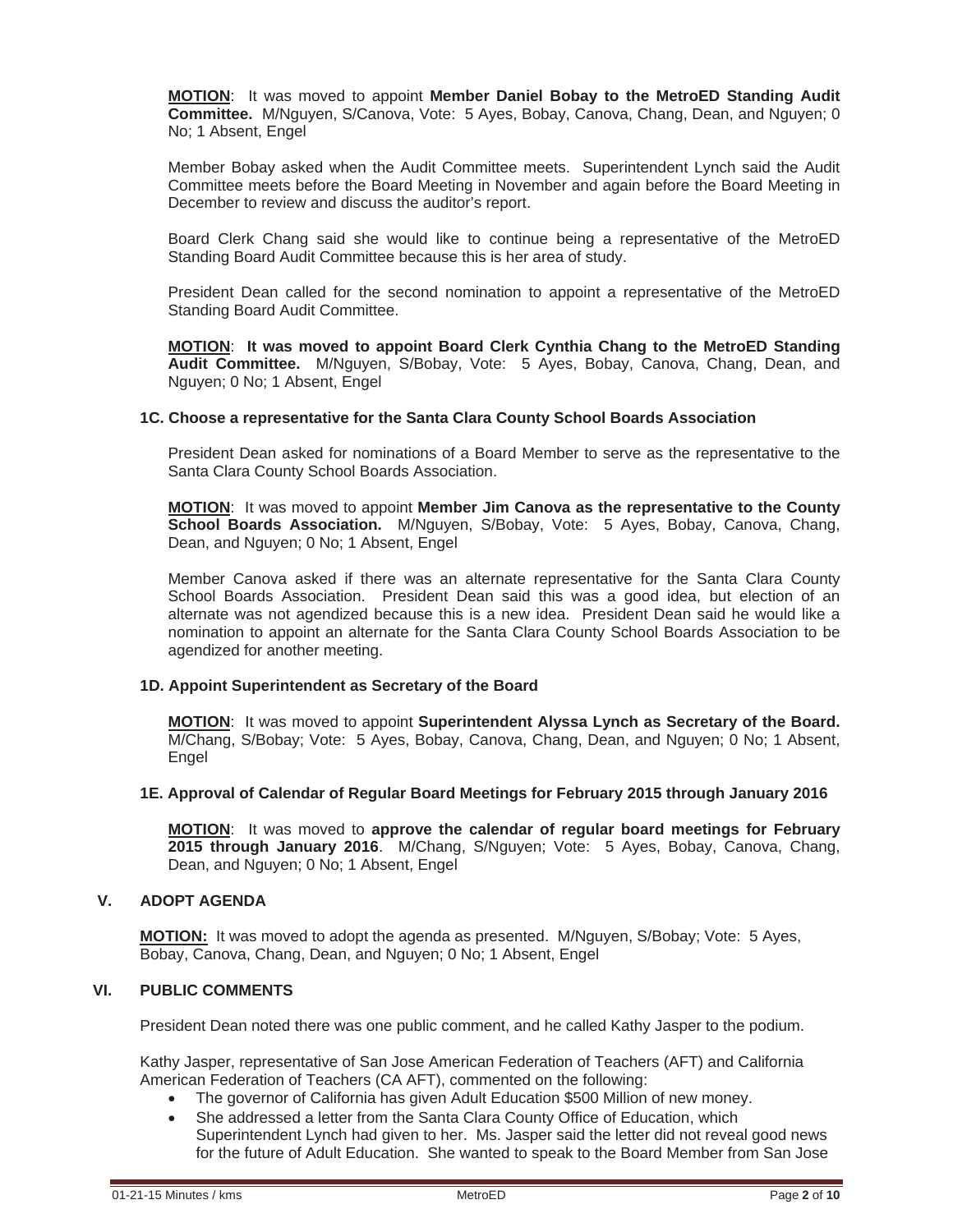**MOTION**: It was moved to appoint **Member Daniel Bobay to the MetroED Standing Audit Committee.** M/Nguyen, S/Canova, Vote: 5 Ayes, Bobay, Canova, Chang, Dean, and Nguyen; 0 No; 1 Absent, Engel

Member Bobay asked when the Audit Committee meets. Superintendent Lynch said the Audit Committee meets before the Board Meeting in November and again before the Board Meeting in December to review and discuss the auditor's report.

Board Clerk Chang said she would like to continue being a representative of the MetroED Standing Board Audit Committee because this is her area of study.

President Dean called for the second nomination to appoint a representative of the MetroED Standing Board Audit Committee.

**MOTION**: **It was moved to appoint Board Clerk Cynthia Chang to the MetroED Standing Audit Committee.** M/Nguyen, S/Bobay, Vote: 5 Ayes, Bobay, Canova, Chang, Dean, and Nguyen; 0 No; 1 Absent, Engel

## **1C. Choose a representative for the Santa Clara County School Boards Association**

President Dean asked for nominations of a Board Member to serve as the representative to the Santa Clara County School Boards Association.

**MOTION**: It was moved to appoint **Member Jim Canova as the representative to the County School Boards Association.** M/Nguyen, S/Bobay, Vote: 5 Ayes, Bobay, Canova, Chang, Dean, and Nguyen; 0 No; 1 Absent, Engel

Member Canova asked if there was an alternate representative for the Santa Clara County School Boards Association. President Dean said this was a good idea, but election of an alternate was not agendized because this is a new idea. President Dean said he would like a nomination to appoint an alternate for the Santa Clara County School Boards Association to be agendized for another meeting.

## **1D. Appoint Superintendent as Secretary of the Board**

**MOTION**: It was moved to appoint **Superintendent Alyssa Lynch as Secretary of the Board.** M/Chang, S/Bobay; Vote: 5 Ayes, Bobay, Canova, Chang, Dean, and Nguyen; 0 No; 1 Absent, Engel

## **1E. Approval of Calendar of Regular Board Meetings for February 2015 through January 2016**

**MOTION**: It was moved to **approve the calendar of regular board meetings for February 2015 through January 2016**. M/Chang, S/Nguyen; Vote: 5 Ayes, Bobay, Canova, Chang, Dean, and Nguyen; 0 No; 1 Absent, Engel

## **V. ADOPT AGENDA**

**MOTION:** It was moved to adopt the agenda as presented. M/Nguyen, S/Bobay; Vote: 5 Ayes, Bobay, Canova, Chang, Dean, and Nguyen; 0 No; 1 Absent, Engel

## **VI. PUBLIC COMMENTS**

President Dean noted there was one public comment, and he called Kathy Jasper to the podium.

Kathy Jasper, representative of San Jose American Federation of Teachers (AFT) and California American Federation of Teachers (CA AFT), commented on the following:

- The governor of California has given Adult Education \$500 Million of new money.
- She addressed a letter from the Santa Clara County Office of Education, which
- Superintendent Lynch had given to her. Ms. Jasper said the letter did not reveal good news for the future of Adult Education. She wanted to speak to the Board Member from San Jose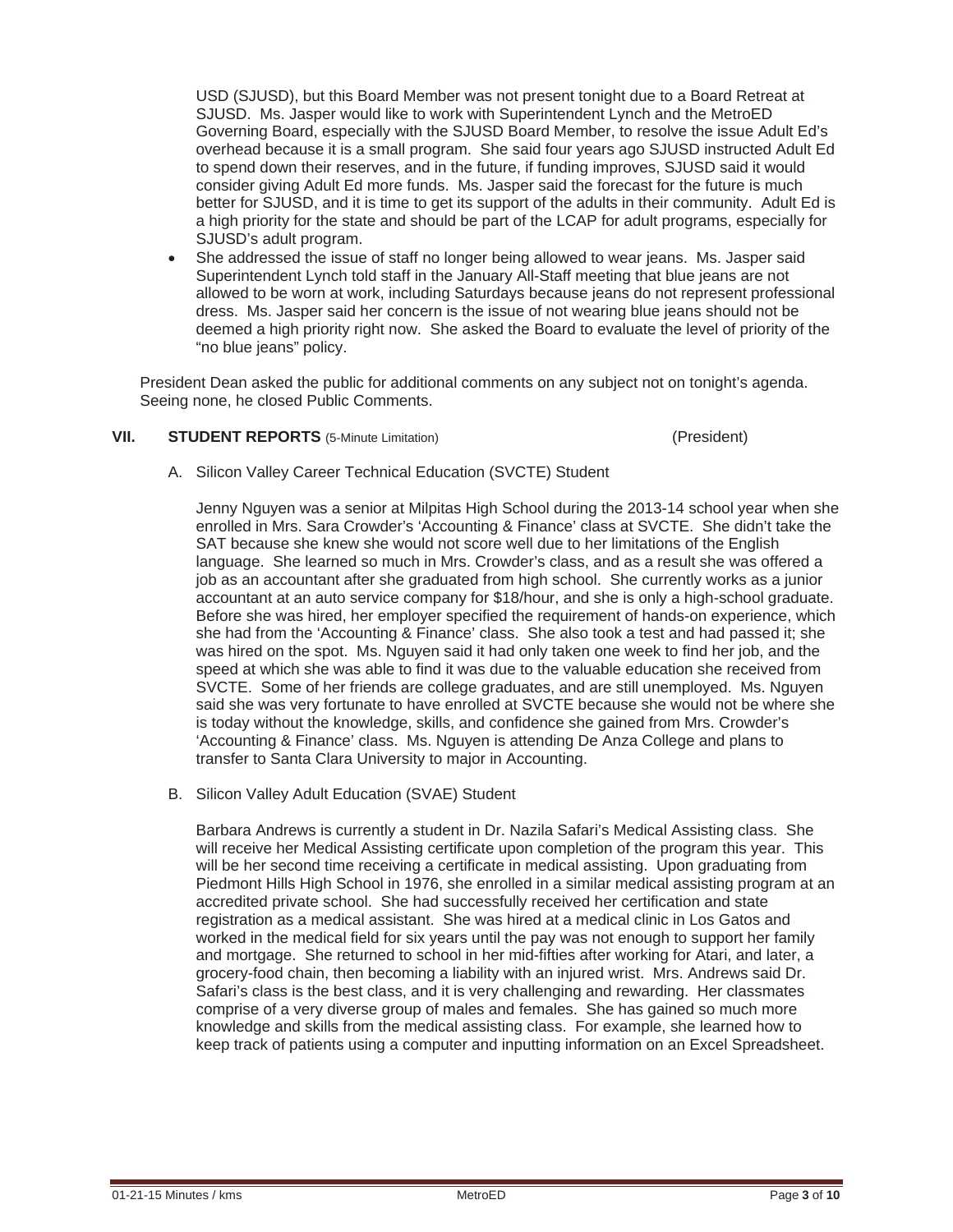USD (SJUSD), but this Board Member was not present tonight due to a Board Retreat at SJUSD. Ms. Jasper would like to work with Superintendent Lynch and the MetroED Governing Board, especially with the SJUSD Board Member, to resolve the issue Adult Ed's overhead because it is a small program. She said four years ago SJUSD instructed Adult Ed to spend down their reserves, and in the future, if funding improves, SJUSD said it would consider giving Adult Ed more funds. Ms. Jasper said the forecast for the future is much better for SJUSD, and it is time to get its support of the adults in their community. Adult Ed is a high priority for the state and should be part of the LCAP for adult programs, especially for SJUSD's adult program.

She addressed the issue of staff no longer being allowed to wear jeans. Ms. Jasper said Superintendent Lynch told staff in the January All-Staff meeting that blue jeans are not allowed to be worn at work, including Saturdays because jeans do not represent professional dress. Ms. Jasper said her concern is the issue of not wearing blue jeans should not be deemed a high priority right now. She asked the Board to evaluate the level of priority of the "no blue jeans" policy.

President Dean asked the public for additional comments on any subject not on tonight's agenda. Seeing none, he closed Public Comments.

## **VII.** STUDENT REPORTS (5-Minute Limitation) **1992** (President)

A. Silicon Valley Career Technical Education (SVCTE) Student

Jenny Nguyen was a senior at Milpitas High School during the 2013-14 school year when she enrolled in Mrs. Sara Crowder's 'Accounting & Finance' class at SVCTE. She didn't take the SAT because she knew she would not score well due to her limitations of the English language. She learned so much in Mrs. Crowder's class, and as a result she was offered a job as an accountant after she graduated from high school. She currently works as a junior accountant at an auto service company for \$18/hour, and she is only a high-school graduate. Before she was hired, her employer specified the requirement of hands-on experience, which she had from the 'Accounting & Finance' class. She also took a test and had passed it; she was hired on the spot. Ms. Nguyen said it had only taken one week to find her job, and the speed at which she was able to find it was due to the valuable education she received from SVCTE. Some of her friends are college graduates, and are still unemployed. Ms. Nguyen said she was very fortunate to have enrolled at SVCTE because she would not be where she is today without the knowledge, skills, and confidence she gained from Mrs. Crowder's 'Accounting & Finance' class. Ms. Nguyen is attending De Anza College and plans to transfer to Santa Clara University to major in Accounting.

B. Silicon Valley Adult Education (SVAE) Student

Barbara Andrews is currently a student in Dr. Nazila Safari's Medical Assisting class. She will receive her Medical Assisting certificate upon completion of the program this year. This will be her second time receiving a certificate in medical assisting. Upon graduating from Piedmont Hills High School in 1976, she enrolled in a similar medical assisting program at an accredited private school. She had successfully received her certification and state registration as a medical assistant. She was hired at a medical clinic in Los Gatos and worked in the medical field for six years until the pay was not enough to support her family and mortgage. She returned to school in her mid-fifties after working for Atari, and later, a grocery-food chain, then becoming a liability with an injured wrist. Mrs. Andrews said Dr. Safari's class is the best class, and it is very challenging and rewarding. Her classmates comprise of a very diverse group of males and females. She has gained so much more knowledge and skills from the medical assisting class. For example, she learned how to keep track of patients using a computer and inputting information on an Excel Spreadsheet.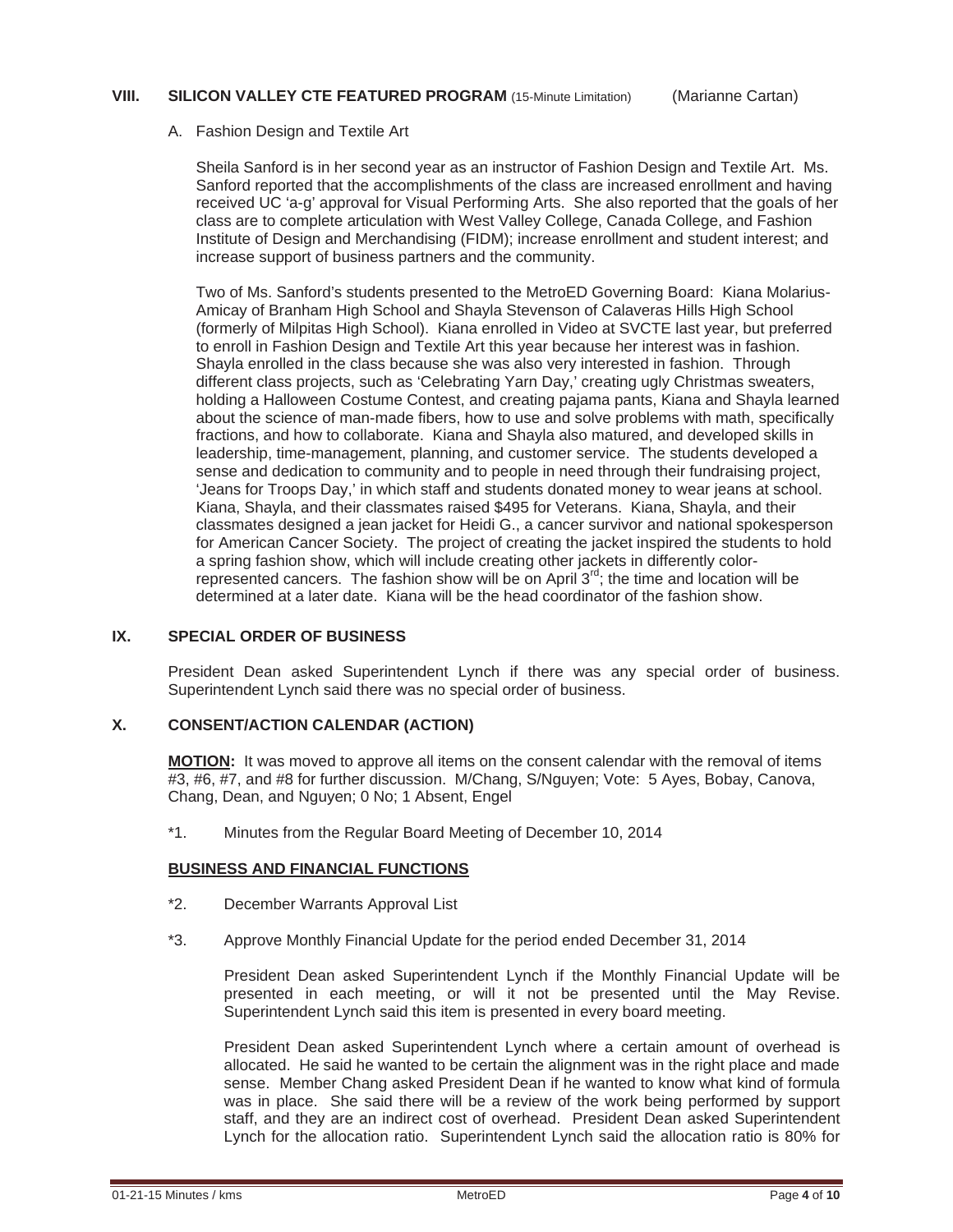## **VIII.** SILICON VALLEY CTE FEATURED PROGRAM (15-Minute Limitation) (Marianne Cartan)

## A. Fashion Design and Textile Art

Sheila Sanford is in her second year as an instructor of Fashion Design and Textile Art. Ms. Sanford reported that the accomplishments of the class are increased enrollment and having received UC 'a-g' approval for Visual Performing Arts. She also reported that the goals of her class are to complete articulation with West Valley College, Canada College, and Fashion Institute of Design and Merchandising (FIDM); increase enrollment and student interest; and increase support of business partners and the community.

Two of Ms. Sanford's students presented to the MetroED Governing Board: Kiana Molarius-Amicay of Branham High School and Shayla Stevenson of Calaveras Hills High School (formerly of Milpitas High School). Kiana enrolled in Video at SVCTE last year, but preferred to enroll in Fashion Design and Textile Art this year because her interest was in fashion. Shayla enrolled in the class because she was also very interested in fashion. Through different class projects, such as 'Celebrating Yarn Day,' creating ugly Christmas sweaters, holding a Halloween Costume Contest, and creating pajama pants, Kiana and Shayla learned about the science of man-made fibers, how to use and solve problems with math, specifically fractions, and how to collaborate. Kiana and Shayla also matured, and developed skills in leadership, time-management, planning, and customer service. The students developed a sense and dedication to community and to people in need through their fundraising project, 'Jeans for Troops Day,' in which staff and students donated money to wear jeans at school. Kiana, Shayla, and their classmates raised \$495 for Veterans. Kiana, Shayla, and their classmates designed a jean jacket for Heidi G., a cancer survivor and national spokesperson for American Cancer Society. The project of creating the jacket inspired the students to hold a spring fashion show, which will include creating other jackets in differently colorrepresented cancers. The fashion show will be on April  $3<sup>rd</sup>$ ; the time and location will be determined at a later date. Kiana will be the head coordinator of the fashion show.

## **IX. SPECIAL ORDER OF BUSINESS**

President Dean asked Superintendent Lynch if there was any special order of business. Superintendent Lynch said there was no special order of business.

## **X. CONSENT/ACTION CALENDAR (ACTION)**

**MOTION:** It was moved to approve all items on the consent calendar with the removal of items #3, #6, #7, and #8 for further discussion. M/Chang, S/Nguyen; Vote: 5 Ayes, Bobay, Canova, Chang, Dean, and Nguyen; 0 No; 1 Absent, Engel

\*1. Minutes from the Regular Board Meeting of December 10, 2014

## **BUSINESS AND FINANCIAL FUNCTIONS**

- \*2. December Warrants Approval List
- \*3. Approve Monthly Financial Update for the period ended December 31, 2014

 President Dean asked Superintendent Lynch if the Monthly Financial Update will be presented in each meeting, or will it not be presented until the May Revise. Superintendent Lynch said this item is presented in every board meeting.

 President Dean asked Superintendent Lynch where a certain amount of overhead is allocated. He said he wanted to be certain the alignment was in the right place and made sense. Member Chang asked President Dean if he wanted to know what kind of formula was in place. She said there will be a review of the work being performed by support staff, and they are an indirect cost of overhead. President Dean asked Superintendent Lynch for the allocation ratio. Superintendent Lynch said the allocation ratio is 80% for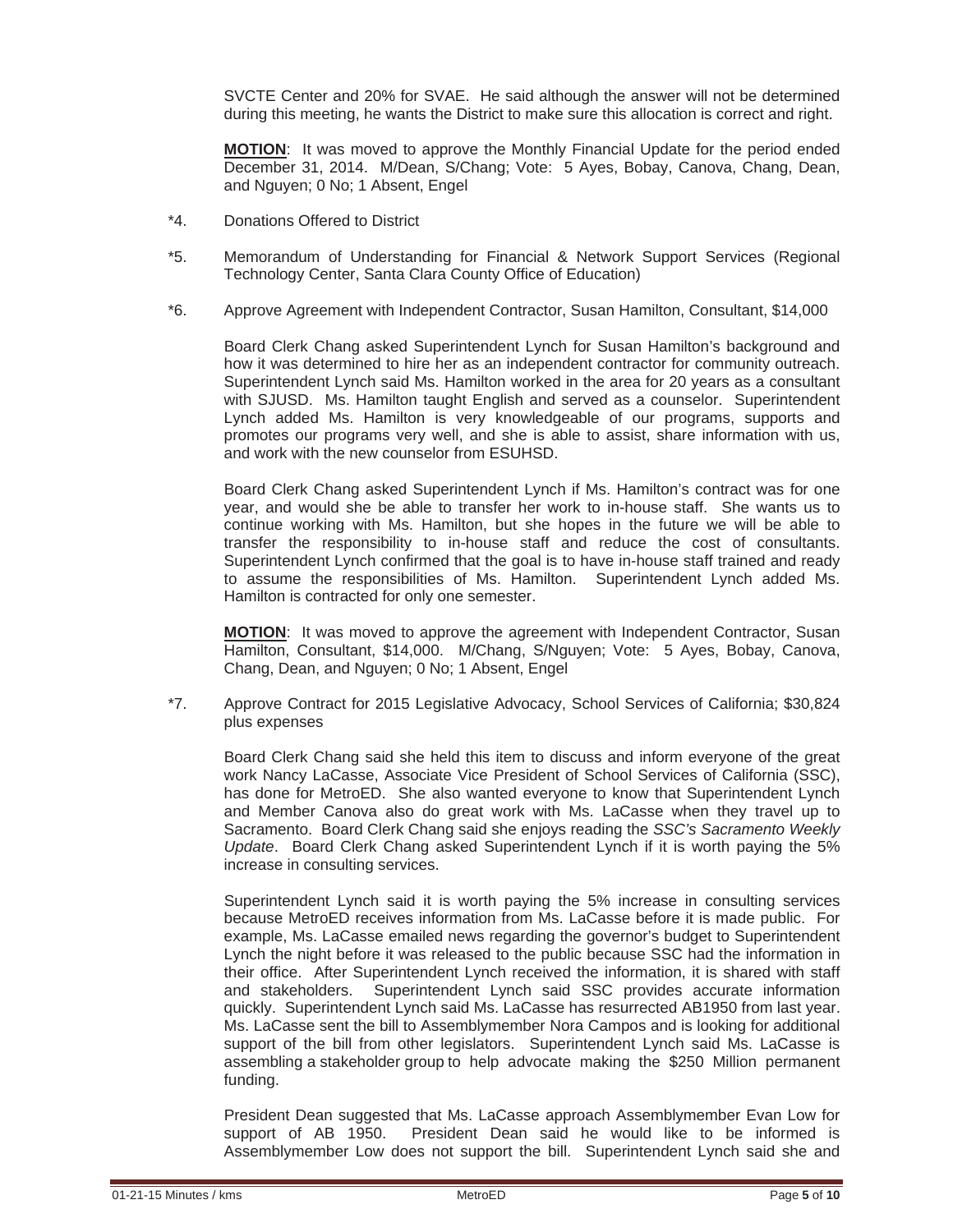SVCTE Center and 20% for SVAE. He said although the answer will not be determined during this meeting, he wants the District to make sure this allocation is correct and right.

**MOTION**: It was moved to approve the Monthly Financial Update for the period ended December 31, 2014. M/Dean, S/Chang; Vote: 5 Ayes, Bobay, Canova, Chang, Dean, and Nguyen; 0 No; 1 Absent, Engel

- \*4. Donations Offered to District
- \*5. Memorandum of Understanding for Financial & Network Support Services (Regional Technology Center, Santa Clara County Office of Education)
- \*6. Approve Agreement with Independent Contractor, Susan Hamilton, Consultant, \$14,000

 Board Clerk Chang asked Superintendent Lynch for Susan Hamilton's background and how it was determined to hire her as an independent contractor for community outreach. Superintendent Lynch said Ms. Hamilton worked in the area for 20 years as a consultant with SJUSD. Ms. Hamilton taught English and served as a counselor. Superintendent Lynch added Ms. Hamilton is very knowledgeable of our programs, supports and promotes our programs very well, and she is able to assist, share information with us, and work with the new counselor from ESUHSD.

 Board Clerk Chang asked Superintendent Lynch if Ms. Hamilton's contract was for one year, and would she be able to transfer her work to in-house staff. She wants us to continue working with Ms. Hamilton, but she hopes in the future we will be able to transfer the responsibility to in-house staff and reduce the cost of consultants. Superintendent Lynch confirmed that the goal is to have in-house staff trained and ready to assume the responsibilities of Ms. Hamilton. Superintendent Lynch added Ms. Hamilton is contracted for only one semester.

**MOTION**: It was moved to approve the agreement with Independent Contractor, Susan Hamilton, Consultant, \$14,000. M/Chang, S/Nguyen; Vote: 5 Ayes, Bobay, Canova, Chang, Dean, and Nguyen; 0 No; 1 Absent, Engel

 \*7. Approve Contract for 2015 Legislative Advocacy, School Services of California; \$30,824 plus expenses

 Board Clerk Chang said she held this item to discuss and inform everyone of the great work Nancy LaCasse, Associate Vice President of School Services of California (SSC), has done for MetroED. She also wanted everyone to know that Superintendent Lynch and Member Canova also do great work with Ms. LaCasse when they travel up to Sacramento. Board Clerk Chang said she enjoys reading the *SSC's Sacramento Weekly Update*. Board Clerk Chang asked Superintendent Lynch if it is worth paying the 5% increase in consulting services.

 Superintendent Lynch said it is worth paying the 5% increase in consulting services because MetroED receives information from Ms. LaCasse before it is made public. For example, Ms. LaCasse emailed news regarding the governor's budget to Superintendent Lynch the night before it was released to the public because SSC had the information in their office. After Superintendent Lynch received the information, it is shared with staff and stakeholders. Superintendent Lynch said SSC provides accurate information quickly. Superintendent Lynch said Ms. LaCasse has resurrected AB1950 from last year. Ms. LaCasse sent the bill to Assemblymember Nora Campos and is looking for additional support of the bill from other legislators. Superintendent Lynch said Ms. LaCasse is assembling a stakeholder group to help advocate making the \$250 Million permanent funding.

 President Dean suggested that Ms. LaCasse approach Assemblymember Evan Low for support of AB 1950. President Dean said he would like to be informed is Assemblymember Low does not support the bill. Superintendent Lynch said she and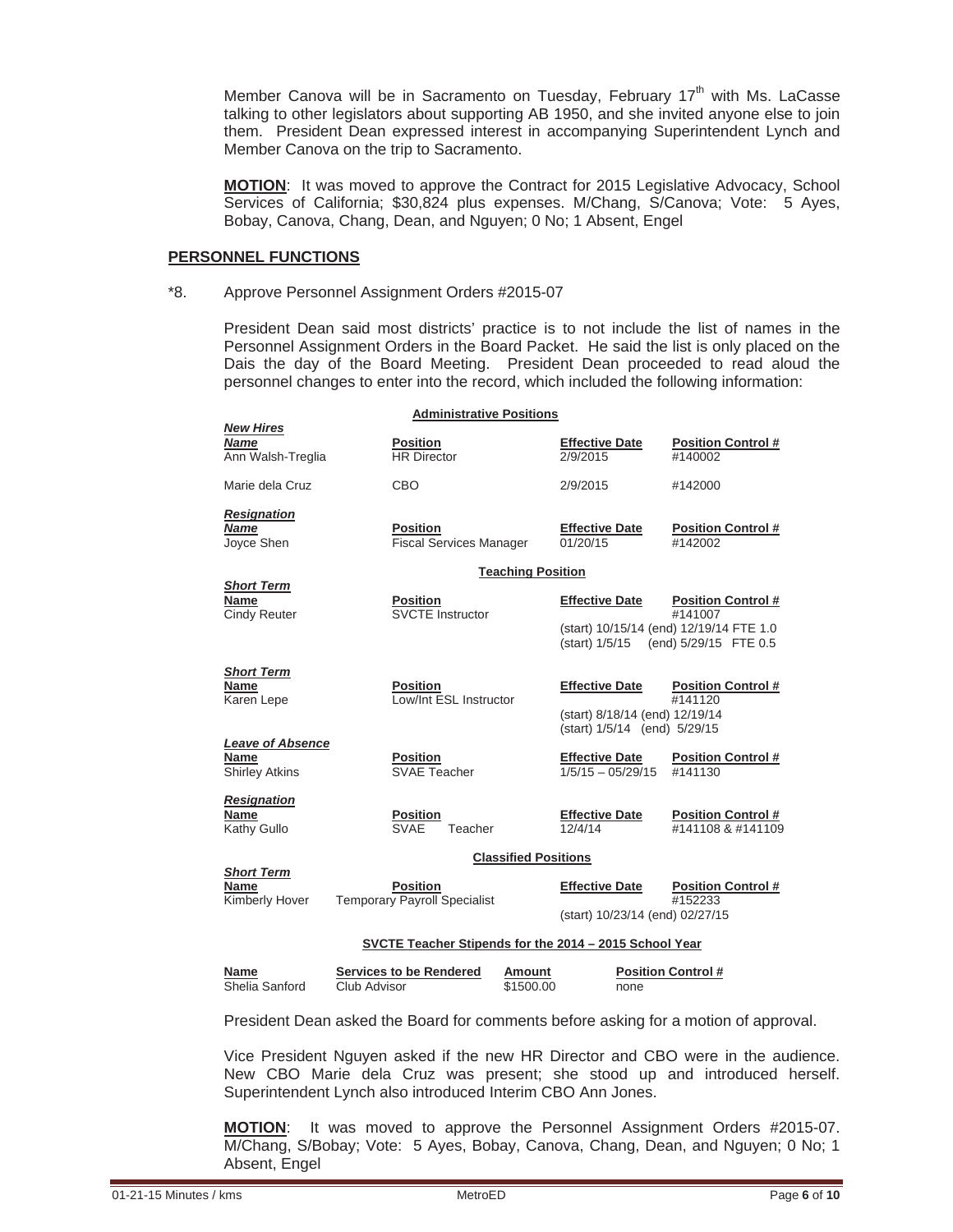Member Canova will be in Sacramento on Tuesday, February 17<sup>th</sup> with Ms. LaCasse talking to other legislators about supporting AB 1950, and she invited anyone else to join them. President Dean expressed interest in accompanying Superintendent Lynch and Member Canova on the trip to Sacramento.

**MOTION**: It was moved to approve the Contract for 2015 Legislative Advocacy, School Services of California; \$30,824 plus expenses. M/Chang, S/Canova; Vote: 5 Ayes, Bobay, Canova, Chang, Dean, and Nguyen; 0 No; 1 Absent, Engel

## **PERSONNEL FUNCTIONS**

#### \*8. Approve Personnel Assignment Orders #2015-07

 President Dean said most districts' practice is to not include the list of names in the Personnel Assignment Orders in the Board Packet. He said the list is only placed on the Dais the day of the Board Meeting. President Dean proceeded to read aloud the personnel changes to enter into the record, which included the following information:

| <b>New Hires</b>                                                | <b>Administrative Positions</b>                                              |                                                                                         |                                                                                                                         |
|-----------------------------------------------------------------|------------------------------------------------------------------------------|-----------------------------------------------------------------------------------------|-------------------------------------------------------------------------------------------------------------------------|
| <b>Name</b><br>Ann Walsh-Treglia                                | <b>Position</b><br><b>HR Director</b>                                        | <b>Effective Date</b><br>2/9/2015                                                       | <b>Position Control #</b><br>#140002                                                                                    |
| Marie dela Cruz                                                 | CBO                                                                          | 2/9/2015                                                                                | #142000                                                                                                                 |
| <b>Resignation</b><br><b>Name</b><br>Joyce Shen                 | <b>Position</b><br><b>Fiscal Services Manager</b>                            | <b>Effective Date</b><br>01/20/15                                                       | <b>Position Control #</b><br>#142002                                                                                    |
|                                                                 |                                                                              | <b>Teaching Position</b>                                                                |                                                                                                                         |
| <b>Short Term</b><br>Name<br><b>Cindy Reuter</b>                | <b>Position</b><br><b>SVCTE Instructor</b>                                   | <b>Effective Date</b>                                                                   | <b>Position Control #</b><br>#141007<br>(start) 10/15/14 (end) 12/19/14 FTE 1.0<br>(start) 1/5/15 (end) 5/29/15 FTE 0.5 |
| <b>Short Term</b><br>Name<br>Karen Lepe                         | <b>Position</b><br>Low/Int ESL Instructor                                    | <b>Effective Date</b><br>(start) 8/18/14 (end) 12/19/14<br>(start) 1/5/14 (end) 5/29/15 | <b>Position Control #</b><br>#141120                                                                                    |
| <b>Leave of Absence</b><br><b>Name</b><br><b>Shirley Atkins</b> | <b>Position</b><br><b>SVAE Teacher</b>                                       | <b>Effective Date</b><br>$1/5/15 - 05/29/15$                                            | <b>Position Control#</b><br>#141130                                                                                     |
| <b>Resignation</b><br><b>Name</b><br>Kathy Gullo                | <b>Position</b><br><b>SVAE</b><br>Teacher                                    | <b>Effective Date</b><br>12/4/14                                                        | <b>Position Control#</b><br>#141108 & #141109                                                                           |
|                                                                 |                                                                              | <b>Classified Positions</b>                                                             |                                                                                                                         |
| <b>Short Term</b><br><b>Name</b><br>Kimberly Hover              | <b>Position</b><br><b>Temporary Payroll Specialist</b>                       | <b>Effective Date</b><br>(start) 10/23/14 (end) 02/27/15                                | <b>Position Control#</b><br>#152233                                                                                     |
|                                                                 | SVCTE Teacher Stipends for the 2014 - 2015 School Year                       |                                                                                         |                                                                                                                         |
| Name<br>Shelia Sanford                                          | <b>Services to be Rendered</b><br>Amount<br>\$1500.00<br><b>Club Advisor</b> | none                                                                                    | <b>Position Control #</b>                                                                                               |

President Dean asked the Board for comments before asking for a motion of approval.

 Vice President Nguyen asked if the new HR Director and CBO were in the audience. New CBO Marie dela Cruz was present; she stood up and introduced herself. Superintendent Lynch also introduced Interim CBO Ann Jones.

**MOTION**: It was moved to approve the Personnel Assignment Orders #2015-07. M/Chang, S/Bobay; Vote: 5 Ayes, Bobay, Canova, Chang, Dean, and Nguyen; 0 No; 1 Absent, Engel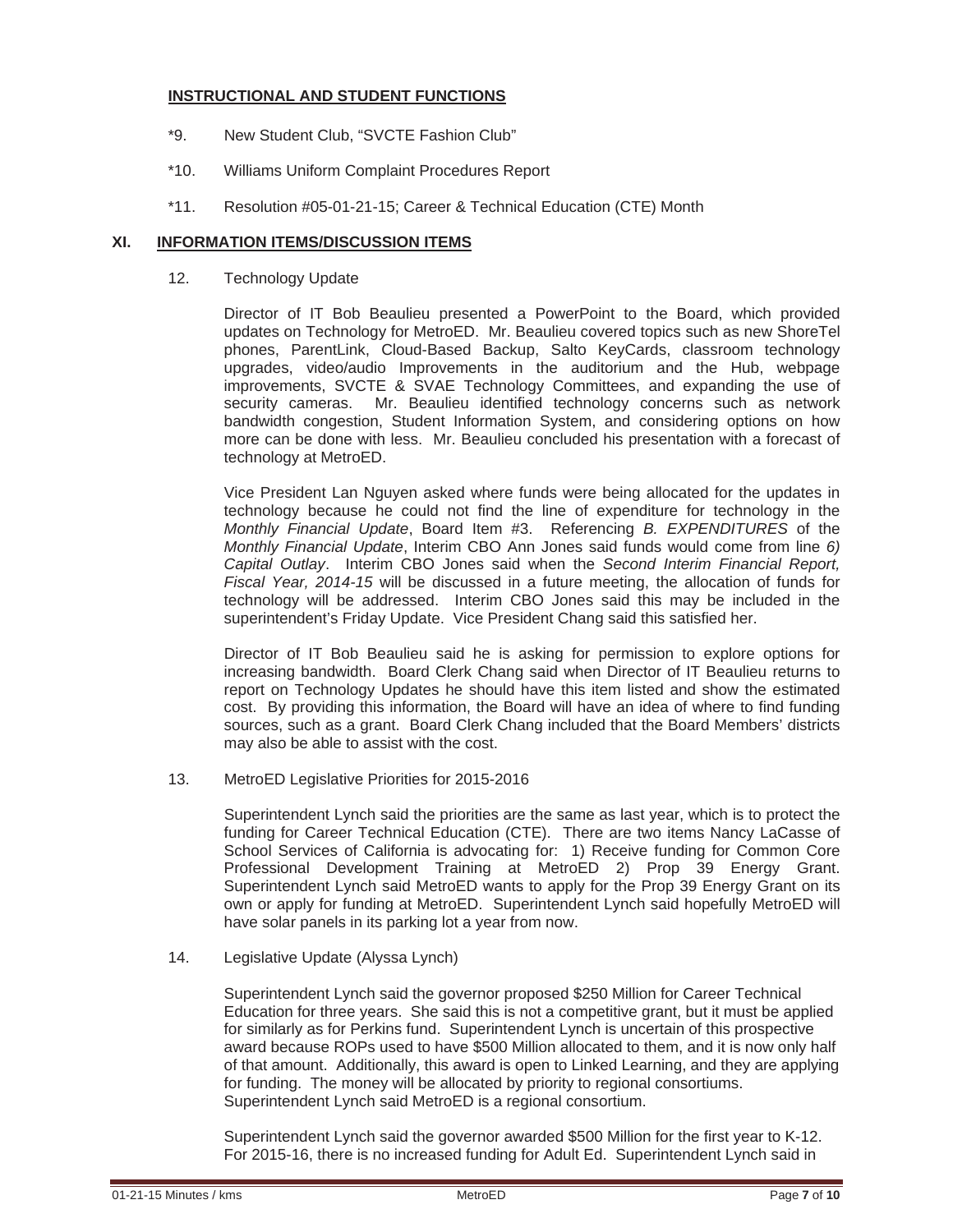## **INSTRUCTIONAL AND STUDENT FUNCTIONS**

- \*9. New Student Club, "SVCTE Fashion Club"
- \*10. Williams Uniform Complaint Procedures Report
- \*11. Resolution #05-01-21-15; Career & Technical Education (CTE) Month

## **XI. INFORMATION ITEMS/DISCUSSION ITEMS**

12. Technology Update

 Director of IT Bob Beaulieu presented a PowerPoint to the Board, which provided updates on Technology for MetroED. Mr. Beaulieu covered topics such as new ShoreTel phones, ParentLink, Cloud-Based Backup, Salto KeyCards, classroom technology upgrades, video/audio Improvements in the auditorium and the Hub, webpage improvements, SVCTE & SVAE Technology Committees, and expanding the use of security cameras. Mr. Beaulieu identified technology concerns such as network bandwidth congestion, Student Information System, and considering options on how more can be done with less. Mr. Beaulieu concluded his presentation with a forecast of technology at MetroED.

 Vice President Lan Nguyen asked where funds were being allocated for the updates in technology because he could not find the line of expenditure for technology in the *Monthly Financial Update*, Board Item #3. Referencing *B. EXPENDITURES* of the *Monthly Financial Update*, Interim CBO Ann Jones said funds would come from line *6) Capital Outlay*. Interim CBO Jones said when the *Second Interim Financial Report, Fiscal Year, 2014-15* will be discussed in a future meeting, the allocation of funds for technology will be addressed. Interim CBO Jones said this may be included in the superintendent's Friday Update. Vice President Chang said this satisfied her.

 Director of IT Bob Beaulieu said he is asking for permission to explore options for increasing bandwidth. Board Clerk Chang said when Director of IT Beaulieu returns to report on Technology Updates he should have this item listed and show the estimated cost. By providing this information, the Board will have an idea of where to find funding sources, such as a grant. Board Clerk Chang included that the Board Members' districts may also be able to assist with the cost.

13. MetroED Legislative Priorities for 2015-2016

 Superintendent Lynch said the priorities are the same as last year, which is to protect the funding for Career Technical Education (CTE). There are two items Nancy LaCasse of School Services of California is advocating for: 1) Receive funding for Common Core Professional Development Training at MetroED 2) Prop 39 Energy Grant. Superintendent Lynch said MetroED wants to apply for the Prop 39 Energy Grant on its own or apply for funding at MetroED. Superintendent Lynch said hopefully MetroED will have solar panels in its parking lot a year from now.

14. Legislative Update (Alyssa Lynch)

Superintendent Lynch said the governor proposed \$250 Million for Career Technical Education for three years. She said this is not a competitive grant, but it must be applied for similarly as for Perkins fund. Superintendent Lynch is uncertain of this prospective award because ROPs used to have \$500 Million allocated to them, and it is now only half of that amount. Additionally, this award is open to Linked Learning, and they are applying for funding. The money will be allocated by priority to regional consortiums. Superintendent Lynch said MetroED is a regional consortium.

Superintendent Lynch said the governor awarded \$500 Million for the first year to K-12. For 2015-16, there is no increased funding for Adult Ed. Superintendent Lynch said in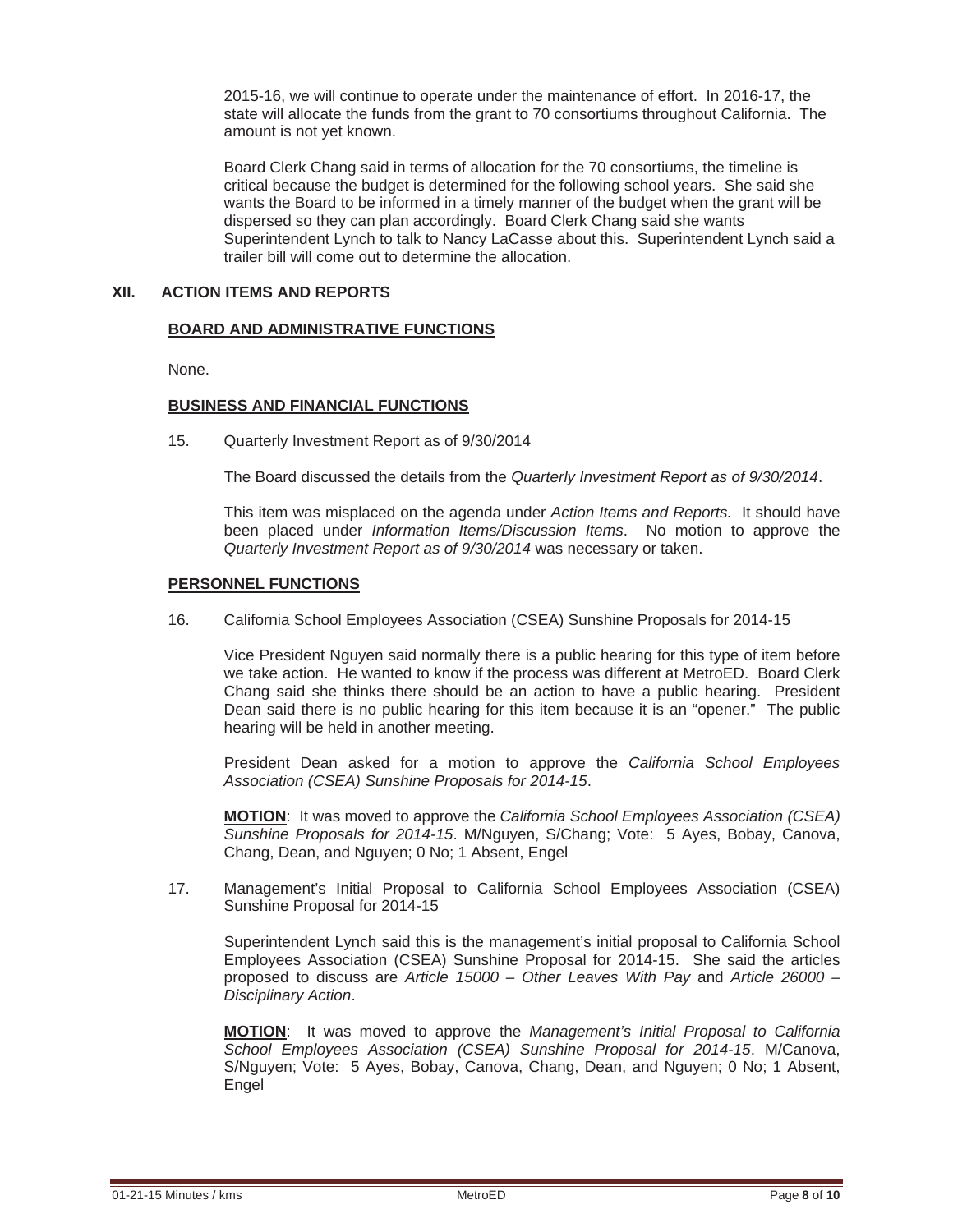2015-16, we will continue to operate under the maintenance of effort. In 2016-17, the state will allocate the funds from the grant to 70 consortiums throughout California. The amount is not yet known.

Board Clerk Chang said in terms of allocation for the 70 consortiums, the timeline is critical because the budget is determined for the following school years. She said she wants the Board to be informed in a timely manner of the budget when the grant will be dispersed so they can plan accordingly. Board Clerk Chang said she wants Superintendent Lynch to talk to Nancy LaCasse about this. Superintendent Lynch said a trailer bill will come out to determine the allocation.

## **XII. ACTION ITEMS AND REPORTS**

## **BOARD AND ADMINISTRATIVE FUNCTIONS**

None.

## **BUSINESS AND FINANCIAL FUNCTIONS**

15. Quarterly Investment Report as of 9/30/2014

The Board discussed the details from the *Quarterly Investment Report as of 9/30/2014*.

 This item was misplaced on the agenda under *Action Items and Reports.* It should have been placed under *Information Items/Discussion Items*. No motion to approve the *Quarterly Investment Report as of 9/30/2014* was necessary or taken.

#### **PERSONNEL FUNCTIONS**

16. California School Employees Association (CSEA) Sunshine Proposals for 2014-15

 Vice President Nguyen said normally there is a public hearing for this type of item before we take action. He wanted to know if the process was different at MetroED. Board Clerk Chang said she thinks there should be an action to have a public hearing. President Dean said there is no public hearing for this item because it is an "opener." The public hearing will be held in another meeting.

 President Dean asked for a motion to approve the *California School Employees Association (CSEA) Sunshine Proposals for 2014-15*.

**MOTION**: It was moved to approve the *California School Employees Association (CSEA) Sunshine Proposals for 2014-15*. M/Nguyen, S/Chang; Vote: 5 Ayes, Bobay, Canova, Chang, Dean, and Nguyen; 0 No; 1 Absent, Engel

 17. Management's Initial Proposal to California School Employees Association (CSEA) Sunshine Proposal for 2014-15

 Superintendent Lynch said this is the management's initial proposal to California School Employees Association (CSEA) Sunshine Proposal for 2014-15. She said the articles proposed to discuss are *Article 15000 – Other Leaves With Pay* and *Article 26000 – Disciplinary Action*.

**MOTION**: It was moved to approve the *Management's Initial Proposal to California School Employees Association (CSEA) Sunshine Proposal for 2014-15*. M/Canova, S/Nguyen; Vote: 5 Ayes, Bobay, Canova, Chang, Dean, and Nguyen; 0 No; 1 Absent, Engel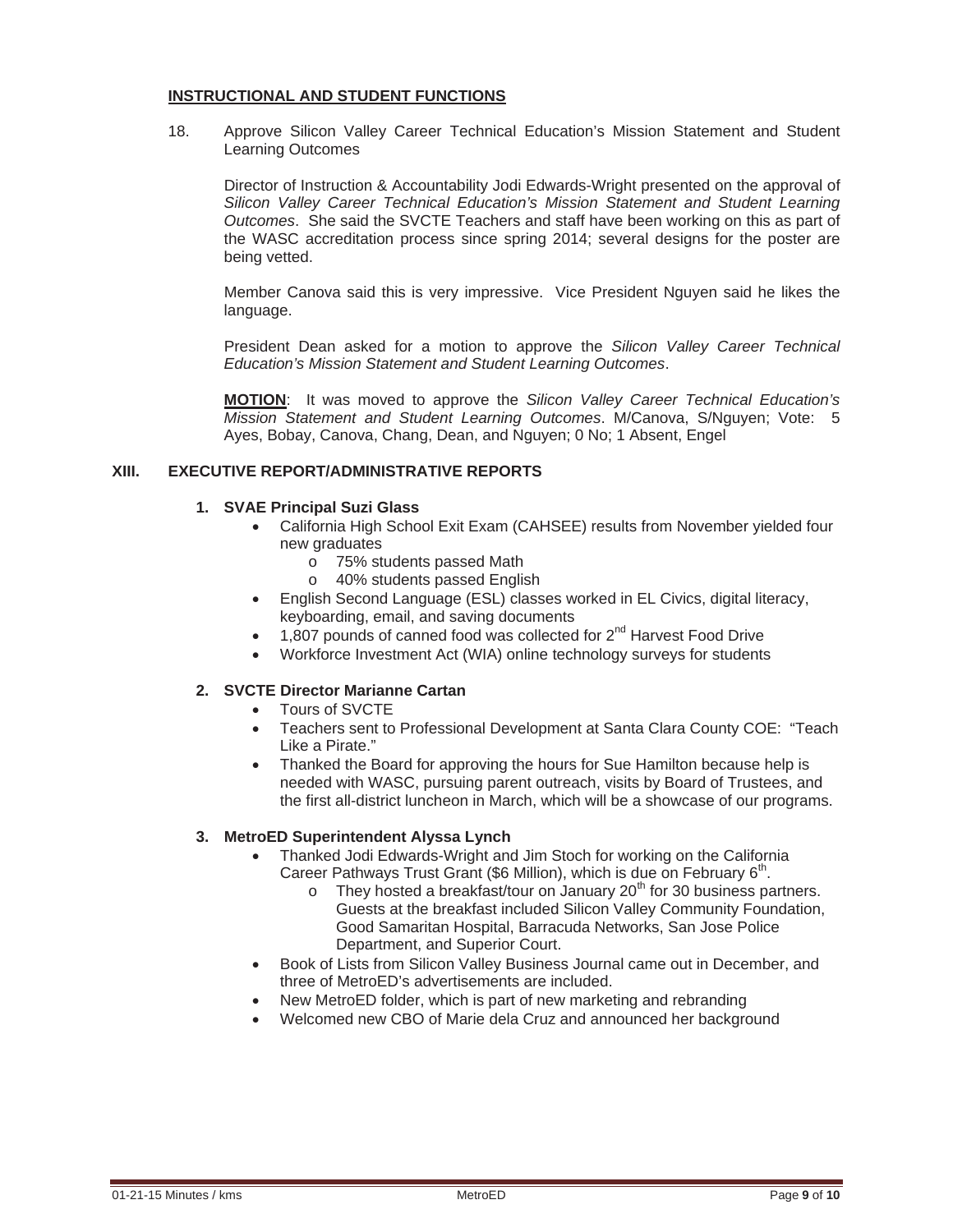## **INSTRUCTIONAL AND STUDENT FUNCTIONS**

 18. Approve Silicon Valley Career Technical Education's Mission Statement and Student Learning Outcomes

 Director of Instruction & Accountability Jodi Edwards-Wright presented on the approval of *Silicon Valley Career Technical Education's Mission Statement and Student Learning Outcomes*. She said the SVCTE Teachers and staff have been working on this as part of the WASC accreditation process since spring 2014; several designs for the poster are being vetted.

 Member Canova said this is very impressive. Vice President Nguyen said he likes the language.

 President Dean asked for a motion to approve the *Silicon Valley Career Technical Education's Mission Statement and Student Learning Outcomes*.

**MOTION**: It was moved to approve the *Silicon Valley Career Technical Education's Mission Statement and Student Learning Outcomes*. M/Canova, S/Nguyen; Vote: 5 Ayes, Bobay, Canova, Chang, Dean, and Nguyen; 0 No; 1 Absent, Engel

## **XIII. EXECUTIVE REPORT/ADMINISTRATIVE REPORTS**

## **1. SVAE Principal Suzi Glass**

- x California High School Exit Exam (CAHSEE) results from November yielded four new graduates
	- o 75% students passed Math
	- o 40% students passed English
- English Second Language (ESL) classes worked in EL Civics, digital literacy, keyboarding, email, and saving documents
- 1,807 pounds of canned food was collected for  $2^{nd}$  Harvest Food Drive
- Workforce Investment Act (WIA) online technology surveys for students

## **2. SVCTE Director Marianne Cartan**

- Tours of SVCTE
- Teachers sent to Professional Development at Santa Clara County COE: "Teach Like a Pirate."
- Thanked the Board for approving the hours for Sue Hamilton because help is needed with WASC, pursuing parent outreach, visits by Board of Trustees, and the first all-district luncheon in March, which will be a showcase of our programs.

## **3. MetroED Superintendent Alyssa Lynch**

- Thanked Jodi Edwards-Wright and Jim Stoch for working on the California Career Pathways Trust Grant (\$6 Million), which is due on February 6<sup>th</sup>.
	- $\circ$  They hosted a breakfast/tour on January 20<sup>th</sup> for 30 business partners. Guests at the breakfast included Silicon Valley Community Foundation, Good Samaritan Hospital, Barracuda Networks, San Jose Police Department, and Superior Court.
- Book of Lists from Silicon Valley Business Journal came out in December, and three of MetroED's advertisements are included.
- New MetroED folder, which is part of new marketing and rebranding
- x Welcomed new CBO of Marie dela Cruz and announced her background